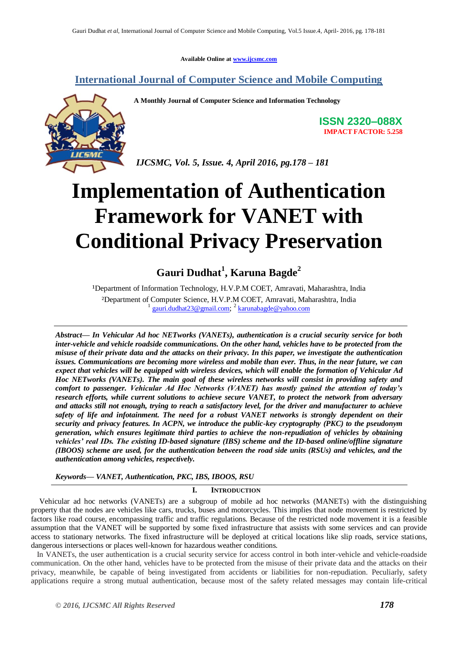**Available Online at [www.ijcsmc.com](http://www.ijcsmc.com/)**

### **International Journal of Computer Science and Mobile Computing**



**A Monthly Journal of Computer Science and Information Technology**

**ISSN 2320–088X IMPACT FACTOR: 5.258**

*IJCSMC, Vol. 5, Issue. 4, April 2016, pg.178 – 181*

# **Implementation of Authentication Framework for VANET with Conditional Privacy Preservation**

## **Gauri Dudhat<sup>1</sup> , Karuna Bagde<sup>2</sup>**

<sup>1</sup>Department of Information Technology, H.V.P.M COET, Amravati, Maharashtra, India ²Department of Computer Science, H.V.P.M COET, Amravati, Maharashtra, India 1 [gauri.dudhat23@gmail.com](mailto:gauri.dudhat23@gmail.com); 2 [karunabagde@yahoo.com](mailto:karunabagde@yahoo.com)

*Abstract— In Vehicular Ad hoc NETworks (VANETs), authentication is a crucial security service for both inter-vehicle and vehicle roadside communications. On the other hand, vehicles have to be protected from the misuse of their private data and the attacks on their privacy. In this paper, we investigate the authentication issues. Communications are becoming more wireless and mobile than ever. Thus, in the near future, we can expect that vehicles will be equipped with wireless devices, which will enable the formation of Vehicular Ad Hoc NETworks (VANETs). The main goal of these wireless networks will consist in providing safety and comfort to passenger. Vehicular Ad Hoc Networks (VANET) has mostly gained the attention of today's research efforts, while current solutions to achieve secure VANET, to protect the network from adversary and attacks still not enough, trying to reach a satisfactory level, for the driver and manufacturer to achieve safety of life and infotainment. The need for a robust VANET networks is strongly dependent on their security and privacy features. In ACPN, we introduce the public-key cryptography (PKC) to the pseudonym generation, which ensures legitimate third parties to achieve the non-repudiation of vehicles by obtaining vehicles' real IDs. The existing ID-based signature (IBS) scheme and the ID-based online/offline signature (IBOOS) scheme are used, for the authentication between the road side units (RSUs) and vehicles, and the authentication among vehicles, respectively.*

*Keywords— VANET, Authentication, PKC, IBS, IBOOS, RSU*

#### **I. INTRODUCTION**

Vehicular ad hoc networks (VANETs) are a subgroup of mobile ad hoc networks (MANETs) with the distinguishing property that the nodes are vehicles like cars, trucks, buses and motorcycles. This implies that node movement is restricted by factors like road course, encompassing traffic and traffic regulations. Because of the restricted node movement it is a feasible assumption that the VANET will be supported by some fixed infrastructure that assists with some services and can provide access to stationary networks. The fixed infrastructure will be deployed at critical locations like slip roads, service stations, dangerous intersections or places well-known for hazardous weather conditions.

 In VANETs, the user authentication is a crucial security service for access control in both inter-vehicle and vehicle-roadside communication. On the other hand, vehicles have to be protected from the misuse of their private data and the attacks on their privacy, meanwhile, be capable of being investigated from accidents or liabilities for non-repudiation. Peculiarly, safety applications require a strong mutual authentication, because most of the safety related messages may contain life-critical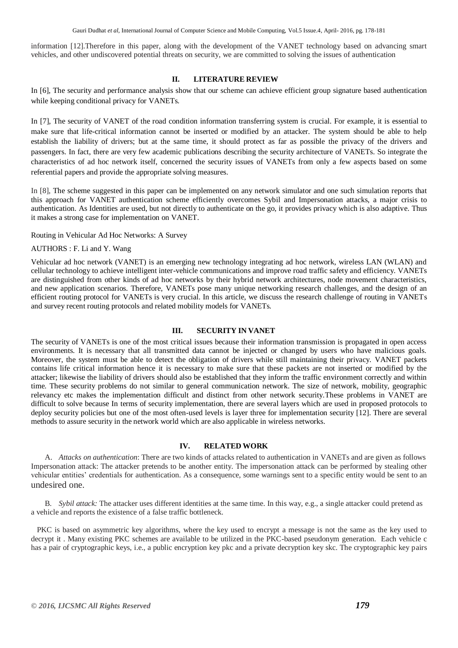information [12].Therefore in this paper, along with the development of the VANET technology based on advancing smart vehicles, and other undiscovered potential threats on security, we are committed to solving the issues of authentication

#### **II. LITERATURE REVIEW**

In [6], The security and performance analysis show that our scheme can achieve efficient group signature based authentication while keeping conditional privacy for VANETs.

In [7], The security of VANET of the road condition information transferring system is crucial. For example, it is essential to make sure that life-critical information cannot be inserted or modified by an attacker. The system should be able to help establish the liability of drivers; but at the same time, it should protect as far as possible the privacy of the drivers and passengers. In fact, there are very few academic publications describing the security architecture of VANETs. So integrate the characteristics of ad hoc network itself, concerned the security issues of VANETs from only a few aspects based on some referential papers and provide the appropriate solving measures.

In [8], The scheme suggested in this paper can be implemented on any network simulator and one such simulation reports that this approach for VANET authentication scheme efficiently overcomes Sybil and Impersonation attacks, a major crisis to authentication. As Identities are used, but not directly to authenticate on the go, it provides privacy which is also adaptive. Thus it makes a strong case for implementation on VANET.

Routing in Vehicular Ad Hoc Networks: A Survey

#### AUTHORS : F. Li and Y. Wang

Vehicular ad hoc network (VANET) is an emerging new technology integrating ad hoc network, wireless LAN (WLAN) and cellular technology to achieve intelligent inter-vehicle communications and improve road traffic safety and efficiency. VANETs are distinguished from other kinds of ad hoc networks by their hybrid network architectures, node movement characteristics, and new application scenarios. Therefore, VANETs pose many unique networking research challenges, and the design of an efficient routing protocol for VANETs is very crucial. In this article, we discuss the research challenge of routing in VANETs and survey recent routing protocols and related mobility models for VANETs.

#### **III. SECURITY IN VANET**

The security of VANETs is one of the most critical issues because their information transmission is propagated in open access environments. It is necessary that all transmitted data cannot be injected or changed by users who have malicious goals. Moreover, the system must be able to detect the obligation of drivers while still maintaining their privacy. VANET packets contains life critical information hence it is necessary to make sure that these packets are not inserted or modified by the attacker; likewise the liability of drivers should also be established that they inform the traffic environment correctly and within time. These security problems do not similar to general communication network. The size of network, mobility, geographic relevancy etc makes the implementation difficult and distinct from other network security.These problems in VANET are difficult to solve because In terms of security implementation, there are several layers which are used in proposed protocols to deploy security policies but one of the most often-used levels is layer three for implementation security [12]. There are several methods to assure security in the network world which are also applicable in wireless networks.

#### **IV. RELATED WORK**

A. *Attacks on authentication*: There are two kinds of attacks related to authentication in VANETs and are given as follows Impersonation attack: The attacker pretends to be another entity. The impersonation attack can be performed by stealing other vehicular entities' credentials for authentication. As a consequence, some warnings sent to a specific entity would be sent to an undesired one.

B. *Sybil attack:* The attacker uses different identities at the same time. In this way, e.g., a single attacker could pretend as a vehicle and reports the existence of a false traffic bottleneck.

 PKC is based on asymmetric key algorithms, where the key used to encrypt a message is not the same as the key used to decrypt it . Many existing PKC schemes are available to be utilized in the PKC-based pseudonym generation. Each vehicle c has a pair of cryptographic keys, i.e., a public encryption key pkc and a private decryption key skc. The cryptographic key pairs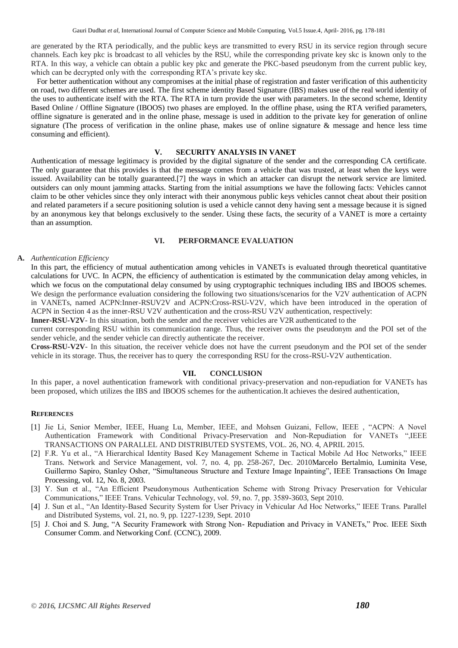are generated by the RTA periodically, and the public keys are transmitted to every RSU in its service region through secure channels. Each key pkc is broadcast to all vehicles by the RSU, while the corresponding private key skc is known only to the RTA. In this way, a vehicle can obtain a public key pkc and generate the PKC-based pseudonym from the current public key, which can be decrypted only with the corresponding RTA's private key skc.

 For better authentication without any compromises at the initial phase of registration and faster verification of this authenticity on road, two different schemes are used. The first scheme identity Based Signature (IBS) makes use of the real world identity of the uses to authenticate itself with the RTA. The RTA in turn provide the user with parameters. In the second scheme, Identity Based Online / Offline Signature (IBOOS) two phases are employed. In the offline phase, using the RTA verified parameters, offline signature is generated and in the online phase, message is used in addition to the private key for generation of online signature (The process of verification in the online phase, makes use of online signature & message and hence less time consuming and efficient).

#### **V. SECURITY ANALYSIS IN VANET**

Authentication of message legitimacy is provided by the digital signature of the sender and the corresponding CA certificate. The only guarantee that this provides is that the message comes from a vehicle that was trusted, at least when the keys were issued. Availability can be totally guaranteed.[7] the ways in which an attacker can disrupt the network service are limited. outsiders can only mount jamming attacks. Starting from the initial assumptions we have the following facts: Vehicles cannot claim to be other vehicles since they only interact with their anonymous public keys vehicles cannot cheat about their position and related parameters if a secure positioning solution is used a vehicle cannot deny having sent a message because it is signed by an anonymous key that belongs exclusively to the sender. Using these facts, the security of a VANET is more a certainty than an assumption.

#### **VI. PERFORMANCE EVALUATION**

#### **A.** *Authentication Efficiency*

In this part, the efficiency of mutual authentication among vehicles in VANETs is evaluated through theoretical quantitative calculations for UVC. In ACPN, the efficiency of authentication is estimated by the communication delay among vehicles, in which we focus on the computational delay consumed by using cryptographic techniques including IBS and IBOOS schemes. We design the performance evaluation considering the following two situations/scenarios for the V2V authentication of ACPN in VANETs, named ACPN:Inner-RSUV2V and ACPN:Cross-RSU-V2V, which have been introduced in the operation of ACPN in Section 4 as the inner-RSU V2V authentication and the cross-RSU V2V authentication, respectively:

**Inner-RSU-V2V**- In this situation, both the sender and the receiver vehicles are V2R authenticated to the

current corresponding RSU within its communication range. Thus, the receiver owns the pseudonym and the POI set of the sender vehicle, and the sender vehicle can directly authenticate the receiver.

**Cross-RSU-V2V**- In this situation, the receiver vehicle does not have the current pseudonym and the POI set of the sender vehicle in its storage. Thus, the receiver has to query the corresponding RSU for the cross-RSU-V2V authentication.

#### **VII. CONCLUSION**

In this paper, a novel authentication framework with conditional privacy-preservation and non-repudiation for VANETs has been proposed, which utilizes the IBS and IBOOS schemes for the authentication.It achieves the desired authentication,

#### **REFERENCES**

- [1] Jie Li, Senior Member, IEEE, Huang Lu, Member, IEEE, and Mohsen Guizani, Fellow, IEEE , "ACPN: A Novel Authentication Framework with Conditional Privacy-Preservation and Non-Repudiation for VANETs ",IEEE TRANSACTIONS ON PARALLEL AND DISTRIBUTED SYSTEMS, VOL. 26, NO. 4, APRIL 2015.
- [2] F.R. Yu et al., "A Hierarchical Identity Based Key Management Scheme in Tactical Mobile Ad Hoc Networks," IEEE Trans. Network and Service Management, vol. 7, no. 4, pp. 258-267, Dec. 2010Marcelo Bertalmio, Luminita Vese, Guillermo Sapiro, Stanley Osher, "Simultaneous Structure and Texture Image Inpainting", IEEE Transactions On Image Processing, vol. 12, No. 8, 2003.
- [3] Y. Sun et al., "An Efficient Pseudonymous Authentication Scheme with Strong Privacy Preservation for Vehicular Communications," IEEE Trans. Vehicular Technology, vol. 59, no. 7, pp. 3589-3603, Sept 2010.
- [4] J. Sun et al., "An Identity-Based Security System for User Privacy in Vehicular Ad Hoc Networks," IEEE Trans. Parallel and Distributed Systems, vol. 21, no. 9, pp. 1227-1239, Sept. 2010
- [5] J. Choi and S. Jung, "A Security Framework with Strong Non- Repudiation and Privacy in VANETs," Proc. IEEE Sixth Consumer Comm. and Networking Conf. (CCNC), 2009.